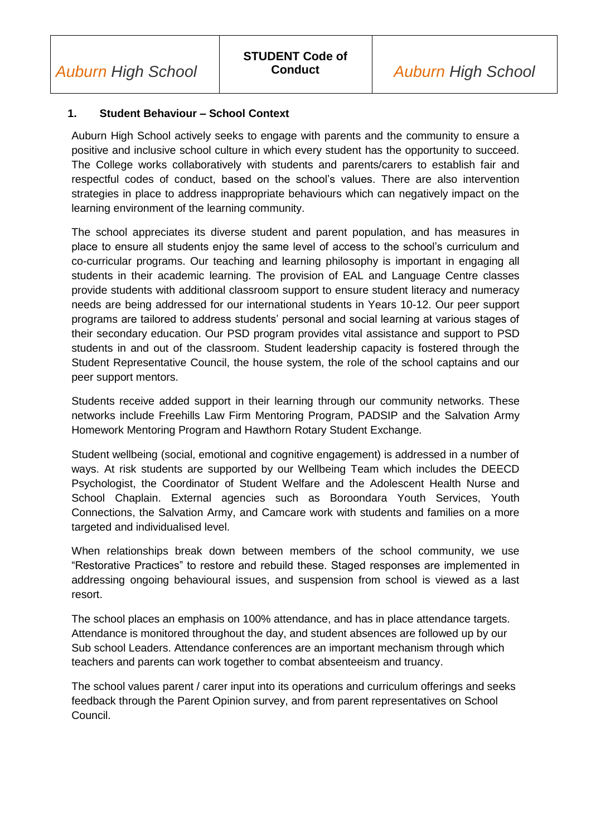#### **1. Student Behaviour – School Context**

Auburn High School actively seeks to engage with parents and the community to ensure a positive and inclusive school culture in which every student has the opportunity to succeed. The College works collaboratively with students and parents/carers to establish fair and respectful codes of conduct, based on the school's values. There are also intervention strategies in place to address inappropriate behaviours which can negatively impact on the learning environment of the learning community.

The school appreciates its diverse student and parent population, and has measures in place to ensure all students enjoy the same level of access to the school's curriculum and co-curricular programs. Our teaching and learning philosophy is important in engaging all students in their academic learning. The provision of EAL and Language Centre classes provide students with additional classroom support to ensure student literacy and numeracy needs are being addressed for our international students in Years 10-12. Our peer support programs are tailored to address students' personal and social learning at various stages of their secondary education. Our PSD program provides vital assistance and support to PSD students in and out of the classroom. Student leadership capacity is fostered through the Student Representative Council, the house system, the role of the school captains and our peer support mentors.

Students receive added support in their learning through our community networks. These networks include Freehills Law Firm Mentoring Program, PADSIP and the Salvation Army Homework Mentoring Program and Hawthorn Rotary Student Exchange.

Student wellbeing (social, emotional and cognitive engagement) is addressed in a number of ways. At risk students are supported by our Wellbeing Team which includes the DEECD Psychologist, the Coordinator of Student Welfare and the Adolescent Health Nurse and School Chaplain. External agencies such as Boroondara Youth Services, Youth Connections, the Salvation Army, and Camcare work with students and families on a more targeted and individualised level.

When relationships break down between members of the school community, we use "Restorative Practices" to restore and rebuild these. Staged responses are implemented in addressing ongoing behavioural issues, and suspension from school is viewed as a last resort.

The school places an emphasis on 100% attendance, and has in place attendance targets. Attendance is monitored throughout the day, and student absences are followed up by our Sub school Leaders. Attendance conferences are an important mechanism through which teachers and parents can work together to combat absenteeism and truancy.

The school values parent / carer input into its operations and curriculum offerings and seeks feedback through the Parent Opinion survey, and from parent representatives on School Council.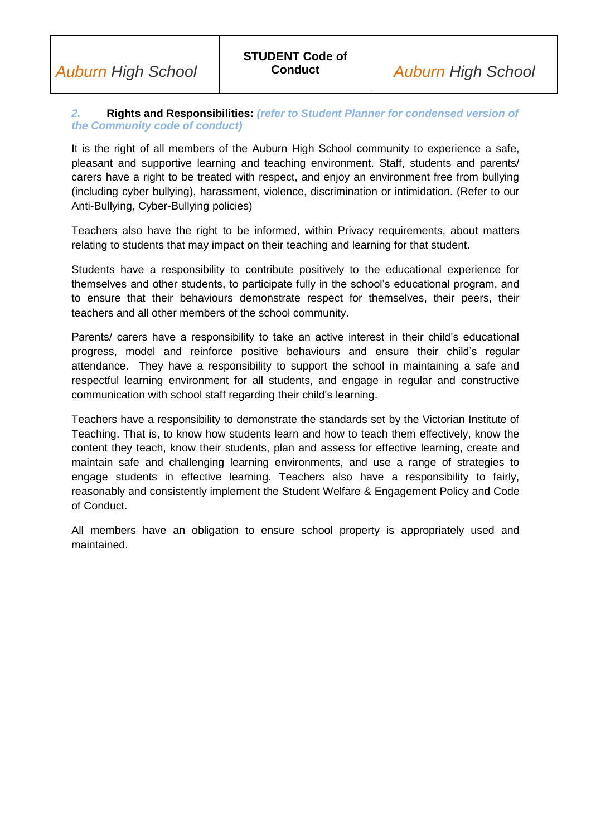#### *2.* **Rights and Responsibilities:** *(refer to Student Planner for condensed version of the Community code of conduct)*

It is the right of all members of the Auburn High School community to experience a safe, pleasant and supportive learning and teaching environment. Staff, students and parents/ carers have a right to be treated with respect, and enjoy an environment free from bullying (including cyber bullying), harassment, violence, discrimination or intimidation. (Refer to our Anti-Bullying, Cyber-Bullying policies)

Teachers also have the right to be informed, within Privacy requirements, about matters relating to students that may impact on their teaching and learning for that student.

Students have a responsibility to contribute positively to the educational experience for themselves and other students, to participate fully in the school's educational program, and to ensure that their behaviours demonstrate respect for themselves, their peers, their teachers and all other members of the school community.

Parents/ carers have a responsibility to take an active interest in their child's educational progress, model and reinforce positive behaviours and ensure their child's regular attendance. They have a responsibility to support the school in maintaining a safe and respectful learning environment for all students, and engage in regular and constructive communication with school staff regarding their child's learning.

Teachers have a responsibility to demonstrate the standards set by the Victorian Institute of Teaching. That is, to know how students learn and how to teach them effectively, know the content they teach, know their students, plan and assess for effective learning, create and maintain safe and challenging learning environments, and use a range of strategies to engage students in effective learning. Teachers also have a responsibility to fairly, reasonably and consistently implement the Student Welfare & Engagement Policy and Code of Conduct.

All members have an obligation to ensure school property is appropriately used and maintained.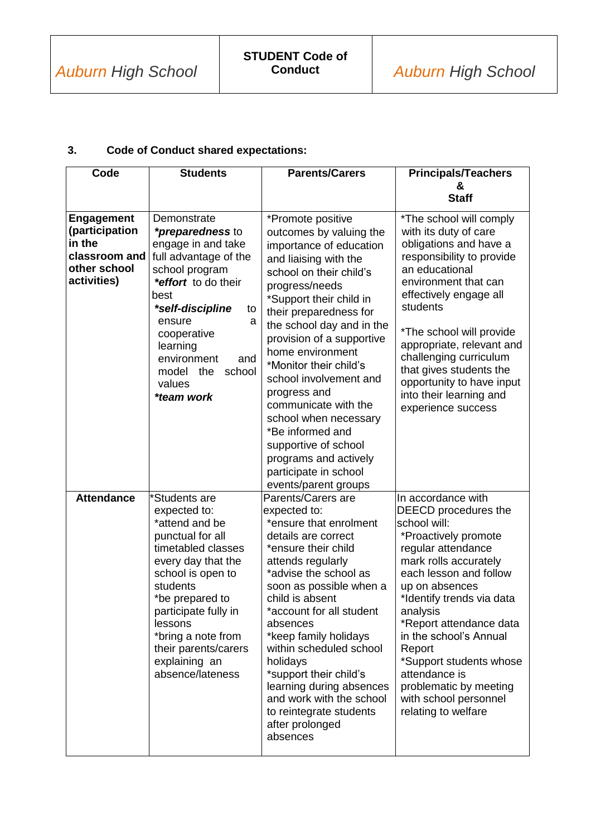## **3. Code of Conduct shared expectations:**

| Code                                                                                          | <b>Students</b>                                                                                                                                                                                                                                                                           | <b>Parents/Carers</b>                                                                                                                                                                                                                                                                                                                                                                                                                                                                                                       | <b>Principals/Teachers</b>                                                                                                                                                                                                                                                                                                                                                                                  |
|-----------------------------------------------------------------------------------------------|-------------------------------------------------------------------------------------------------------------------------------------------------------------------------------------------------------------------------------------------------------------------------------------------|-----------------------------------------------------------------------------------------------------------------------------------------------------------------------------------------------------------------------------------------------------------------------------------------------------------------------------------------------------------------------------------------------------------------------------------------------------------------------------------------------------------------------------|-------------------------------------------------------------------------------------------------------------------------------------------------------------------------------------------------------------------------------------------------------------------------------------------------------------------------------------------------------------------------------------------------------------|
|                                                                                               |                                                                                                                                                                                                                                                                                           |                                                                                                                                                                                                                                                                                                                                                                                                                                                                                                                             | &<br><b>Staff</b>                                                                                                                                                                                                                                                                                                                                                                                           |
| <b>Engagement</b><br>(participation<br>in the<br>classroom and<br>other school<br>activities) | Demonstrate<br><i>*preparedness</i> to<br>engage in and take<br>full advantage of the<br>school program<br>*effort to do their<br>best<br>*self-discipline<br>to<br>ensure<br>a<br>cooperative<br>learning<br>environment<br>and<br>school<br>model the<br>values<br>*team work           | *Promote positive<br>outcomes by valuing the<br>importance of education<br>and liaising with the<br>school on their child's<br>progress/needs<br>*Support their child in<br>their preparedness for<br>the school day and in the<br>provision of a supportive<br>home environment<br>*Monitor their child's<br>school involvement and<br>progress and<br>communicate with the<br>school when necessary<br>*Be informed and<br>supportive of school<br>programs and actively<br>participate in school<br>events/parent groups | *The school will comply<br>with its duty of care<br>obligations and have a<br>responsibility to provide<br>an educational<br>environment that can<br>effectively engage all<br>students<br>*The school will provide<br>appropriate, relevant and<br>challenging curriculum<br>that gives students the<br>opportunity to have input<br>into their learning and<br>experience success                         |
| <b>Attendance</b>                                                                             | *Students are<br>expected to:<br>*attend and be<br>punctual for all<br>timetabled classes<br>every day that the<br>school is open to<br>students<br>*be prepared to<br>participate fully in<br>lessons<br>*bring a note from<br>their parents/carers<br>explaining an<br>absence/lateness | Parents/Carers are<br>expected to:<br>*ensure that enrolment<br>details are correct<br>*ensure their child<br>attends regularly<br>*advise the school as<br>soon as possible when a<br>child is absent<br>*account for all student<br>absences<br>*keep family holidays<br>within scheduled school<br>holidays<br>*support their child's<br>learning during absences<br>and work with the school<br>to reintegrate students<br>after prolonged<br>absences                                                                  | In accordance with<br>DEECD procedures the<br>school will:<br>*Proactively promote<br>regular attendance<br>mark rolls accurately<br>each lesson and follow<br>up on absences<br>*Identify trends via data<br>analysis<br>*Report attendance data<br>in the school's Annual<br>Report<br>*Support students whose<br>attendance is<br>problematic by meeting<br>with school personnel<br>relating to welfare |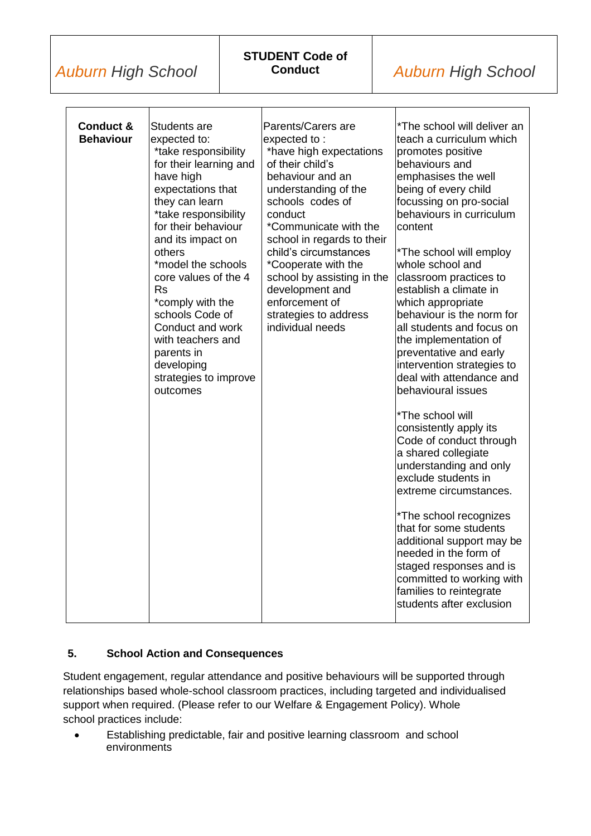*Auburn High School*

| Conduct &<br><b>Behaviour</b> | Students are<br>expected to:<br>*take responsibility<br>for their learning and<br>have high<br>expectations that<br>they can learn<br>*take responsibility<br>for their behaviour<br>and its impact on<br>others<br>*model the schools<br>core values of the 4<br><b>Rs</b><br>*comply with the<br>schools Code of<br>Conduct and work<br>with teachers and<br>parents in<br>developing<br>strategies to improve | Parents/Carers are<br>expected to:<br>*have high expectations<br>of their child's<br>behaviour and an<br>understanding of the<br>schools codes of<br>conduct<br>*Communicate with the<br>school in regards to their<br>child's circumstances<br>*Cooperate with the<br>school by assisting in the<br>development and<br>enforcement of<br>strategies to address<br>individual needs | *The school will deliver an<br>teach a curriculum which<br>promotes positive<br>behaviours and<br>emphasises the well<br>being of every child<br>focussing on pro-social<br>behaviours in curriculum<br>content<br>*The school will employ<br>whole school and<br>classroom practices to<br>establish a climate in<br>which appropriate<br>behaviour is the norm for<br>all students and focus on<br>the implementation of<br>preventative and early<br>intervention strategies to<br>deal with attendance and |
|-------------------------------|------------------------------------------------------------------------------------------------------------------------------------------------------------------------------------------------------------------------------------------------------------------------------------------------------------------------------------------------------------------------------------------------------------------|-------------------------------------------------------------------------------------------------------------------------------------------------------------------------------------------------------------------------------------------------------------------------------------------------------------------------------------------------------------------------------------|----------------------------------------------------------------------------------------------------------------------------------------------------------------------------------------------------------------------------------------------------------------------------------------------------------------------------------------------------------------------------------------------------------------------------------------------------------------------------------------------------------------|
|                               |                                                                                                                                                                                                                                                                                                                                                                                                                  |                                                                                                                                                                                                                                                                                                                                                                                     | *The school will<br>consistently apply its<br>Code of conduct through<br>a shared collegiate<br>understanding and only<br>exclude students in<br>extreme circumstances.                                                                                                                                                                                                                                                                                                                                        |
|                               |                                                                                                                                                                                                                                                                                                                                                                                                                  |                                                                                                                                                                                                                                                                                                                                                                                     | *The school recognizes<br>that for some students<br>additional support may be<br>needed in the form of<br>staged responses and is<br>committed to working with<br>families to reintegrate<br>students after exclusion                                                                                                                                                                                                                                                                                          |

## **5. School Action and Consequences**

Student engagement, regular attendance and positive behaviours will be supported through relationships based whole-school classroom practices, including targeted and individualised support when required. (Please refer to our Welfare & Engagement Policy). Whole school practices include:

 Establishing predictable, fair and positive learning classroom and school environments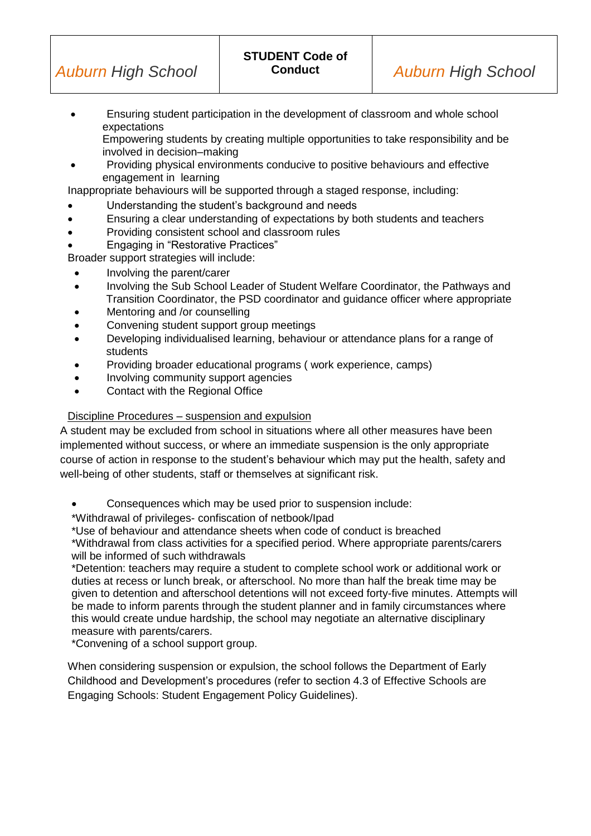Ensuring student participation in the development of classroom and whole school expectations

Empowering students by creating multiple opportunities to take responsibility and be involved in decision–making

 Providing physical environments conducive to positive behaviours and effective engagement in learning

Inappropriate behaviours will be supported through a staged response, including:

- Understanding the student's background and needs
- Ensuring a clear understanding of expectations by both students and teachers
- Providing consistent school and classroom rules
- Engaging in "Restorative Practices"

Broader support strategies will include:

- Involving the parent/carer
- Involving the Sub School Leader of Student Welfare Coordinator, the Pathways and Transition Coordinator, the PSD coordinator and guidance officer where appropriate
- Mentoring and /or counselling
- Convening student support group meetings
- Developing individualised learning, behaviour or attendance plans for a range of students
- Providing broader educational programs ( work experience, camps)
- Involving community support agencies
- Contact with the Regional Office

### Discipline Procedures – suspension and expulsion

A student may be excluded from school in situations where all other measures have been implemented without success, or where an immediate suspension is the only appropriate course of action in response to the student's behaviour which may put the health, safety and well-being of other students, staff or themselves at significant risk.

Consequences which may be used prior to suspension include:

\*Withdrawal of privileges- confiscation of netbook/Ipad

\*Use of behaviour and attendance sheets when code of conduct is breached \*Withdrawal from class activities for a specified period. Where appropriate parents/carers will be informed of such withdrawals

\*Detention: teachers may require a student to complete school work or additional work or duties at recess or lunch break, or afterschool. No more than half the break time may be given to detention and afterschool detentions will not exceed forty-five minutes. Attempts will be made to inform parents through the student planner and in family circumstances where this would create undue hardship, the school may negotiate an alternative disciplinary measure with parents/carers.

\*Convening of a school support group.

When considering suspension or expulsion, the school follows the Department of Early Childhood and Development's procedures (refer to section 4.3 of Effective Schools are Engaging Schools: Student Engagement Policy Guidelines).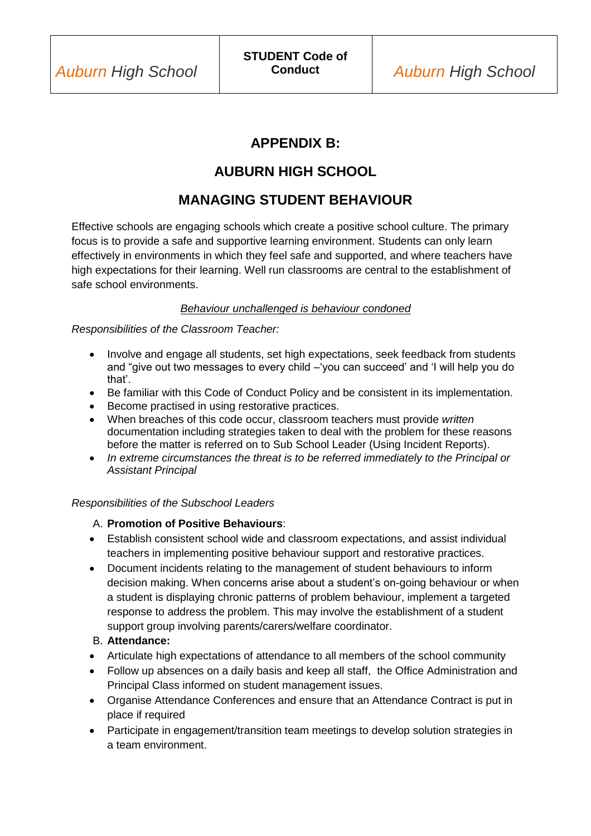# **APPENDIX B:**

# **AUBURN HIGH SCHOOL**

# **MANAGING STUDENT BEHAVIOUR**

Effective schools are engaging schools which create a positive school culture. The primary focus is to provide a safe and supportive learning environment. Students can only learn effectively in environments in which they feel safe and supported, and where teachers have high expectations for their learning. Well run classrooms are central to the establishment of safe school environments.

### *Behaviour unchallenged is behaviour condoned*

*Responsibilities of the Classroom Teacher:*

- Involve and engage all students, set high expectations, seek feedback from students and "give out two messages to every child –'you can succeed' and 'I will help you do that'.
- Be familiar with this Code of Conduct Policy and be consistent in its implementation.
- **Become practised in using restorative practices.**
- When breaches of this code occur, classroom teachers must provide *written*  documentation including strategies taken to deal with the problem for these reasons before the matter is referred on to Sub School Leader (Using Incident Reports).
- *In extreme circumstances the threat is to be referred immediately to the Principal or Assistant Principal*

#### *Responsibilities of the Subschool Leaders*

### A. **Promotion of Positive Behaviours**:

- Establish consistent school wide and classroom expectations, and assist individual teachers in implementing positive behaviour support and restorative practices.
- Document incidents relating to the management of student behaviours to inform decision making. When concerns arise about a student's on-going behaviour or when a student is displaying chronic patterns of problem behaviour, implement a targeted response to address the problem. This may involve the establishment of a student support group involving parents/carers/welfare coordinator.

### B. **Attendance:**

- Articulate high expectations of attendance to all members of the school community
- Follow up absences on a daily basis and keep all staff, the Office Administration and Principal Class informed on student management issues.
- Organise Attendance Conferences and ensure that an Attendance Contract is put in place if required
- Participate in engagement/transition team meetings to develop solution strategies in a team environment.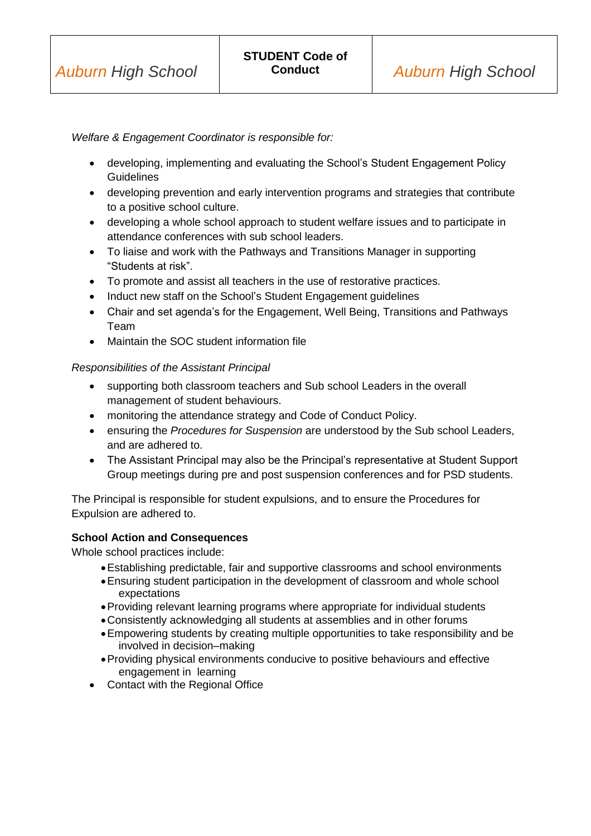*Welfare & Engagement Coordinator is responsible for:*

- developing, implementing and evaluating the School's Student Engagement Policy **Guidelines**
- developing prevention and early intervention programs and strategies that contribute to a positive school culture.
- developing a whole school approach to student welfare issues and to participate in attendance conferences with sub school leaders.
- To liaise and work with the Pathways and Transitions Manager in supporting "Students at risk".
- To promote and assist all teachers in the use of restorative practices.
- Induct new staff on the School's Student Engagement guidelines
- Chair and set agenda's for the Engagement, Well Being, Transitions and Pathways Team
- Maintain the SOC student information file

#### *Responsibilities of the Assistant Principal*

- supporting both classroom teachers and Sub school Leaders in the overall management of student behaviours.
- monitoring the attendance strategy and Code of Conduct Policy.
- ensuring the *Procedures for Suspension* are understood by the Sub school Leaders, and are adhered to.
- The Assistant Principal may also be the Principal's representative at Student Support Group meetings during pre and post suspension conferences and for PSD students.

The Principal is responsible for student expulsions, and to ensure the Procedures for Expulsion are adhered to.

#### **School Action and Consequences**

Whole school practices include:

- Establishing predictable, fair and supportive classrooms and school environments
- Ensuring student participation in the development of classroom and whole school expectations
- Providing relevant learning programs where appropriate for individual students
- Consistently acknowledging all students at assemblies and in other forums
- Empowering students by creating multiple opportunities to take responsibility and be involved in decision–making
- Providing physical environments conducive to positive behaviours and effective engagement in learning
- Contact with the Regional Office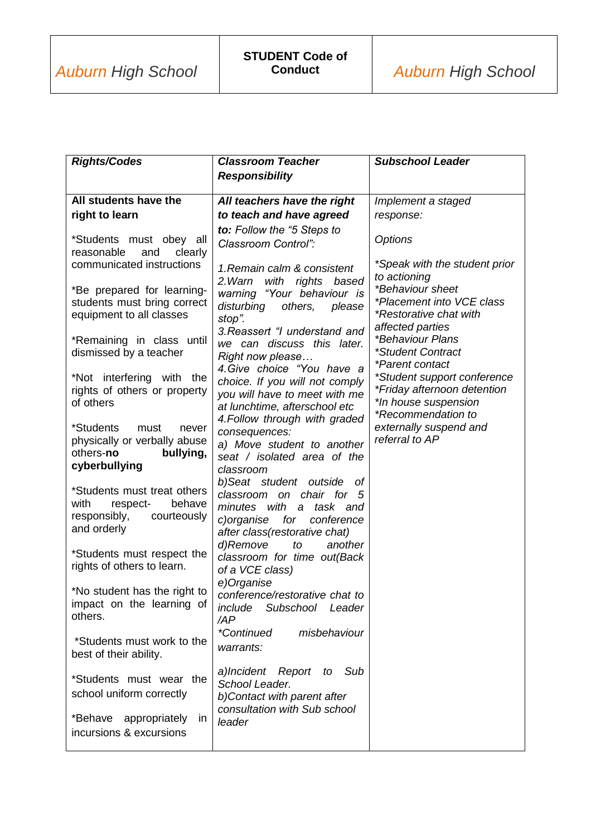| <b>Rights/Codes</b>                                                                                     | <b>Classroom Teacher</b>                                                                                                                                   | <b>Subschool Leader</b>                                                                                     |
|---------------------------------------------------------------------------------------------------------|------------------------------------------------------------------------------------------------------------------------------------------------------------|-------------------------------------------------------------------------------------------------------------|
|                                                                                                         | <b>Responsibility</b>                                                                                                                                      |                                                                                                             |
| All students have the                                                                                   |                                                                                                                                                            |                                                                                                             |
|                                                                                                         | All teachers have the right                                                                                                                                | Implement a staged                                                                                          |
| right to learn                                                                                          | to teach and have agreed                                                                                                                                   | response:                                                                                                   |
| *Students must obey all<br>reasonable<br>and<br>clearly<br>communicated instructions                    | to: Follow the "5 Steps to<br>Classroom Control":<br>1. Remain calm & consistent                                                                           | <b>Options</b><br>*Speak with the student prior                                                             |
| *Be prepared for learning-<br>students must bring correct<br>equipment to all classes                   | 2. Warn<br>with rights based<br>warning "Your behaviour is<br>disturbing<br>others,<br>please<br>stop".                                                    | to actioning<br>*Behaviour sheet<br>*Placement into VCE class<br>*Restorative chat with<br>affected parties |
| *Remaining in class until<br>dismissed by a teacher                                                     | 3. Reassert "I understand and<br>we can discuss this later.<br>Right now please<br>4. Give choice "You have a                                              | <i>*Behaviour Plans</i><br>*Student Contract<br>*Parent contact                                             |
| *Not interfering with the<br>rights of others or property<br>of others                                  | choice. If you will not comply<br>you will have to meet with me<br>at lunchtime, afterschool etc<br>4. Follow through with graded                          | *Student support conference<br>*Friday afternoon detention<br>*In house suspension<br>*Recommendation to    |
| *Students<br>must<br>never<br>physically or verbally abuse<br>others-no<br>bullying,                    | consequences:<br>a) Move student to another<br>seat / isolated area of the                                                                                 | externally suspend and<br>referral to AP                                                                    |
| cyberbullying                                                                                           | classroom                                                                                                                                                  |                                                                                                             |
| *Students must treat others<br>with<br>respect-<br>behave<br>responsibly,<br>courteously<br>and orderly | b)Seat student outside of<br>classroom on chair for 5<br>minutes with<br>task and<br>a<br>c)organise<br>for<br>conference<br>after class(restorative chat) |                                                                                                             |
| *Students must respect the<br>rights of others to learn.                                                | d)Remove<br>to<br>another<br>classroom for time out(Back<br>of a VCE class)                                                                                |                                                                                                             |
| *No student has the right to<br>impact on the learning of<br>others.                                    | e)Organise<br>conference/restorative chat to<br>include<br>Subschool Leader<br>/AP<br><i>*Continued</i><br>misbehaviour                                    |                                                                                                             |
| *Students must work to the<br>best of their ability.                                                    | warrants:                                                                                                                                                  |                                                                                                             |
| *Students must wear the<br>school uniform correctly                                                     | a)Incident Report to<br>Sub<br>School Leader.<br>b)Contact with parent after<br>consultation with Sub school                                               |                                                                                                             |
| *Behave<br>appropriately<br><i>in</i><br>incursions & excursions                                        | leader                                                                                                                                                     |                                                                                                             |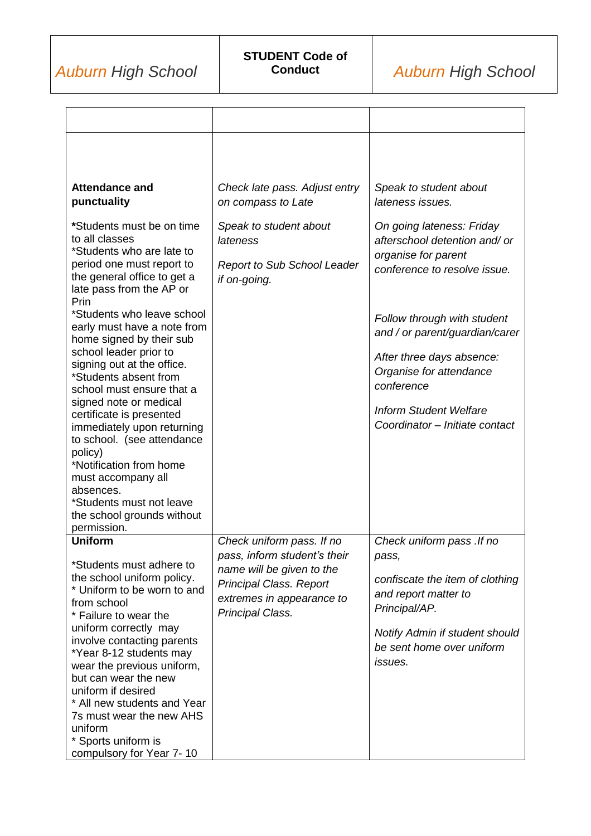| <b>Attendance and</b><br>punctuality                                                                                                                                                                                                                                                | Check late pass. Adjust entry<br>on compass to Late                                                   | Speak to student about<br>lateness issues.                                                                        |
|-------------------------------------------------------------------------------------------------------------------------------------------------------------------------------------------------------------------------------------------------------------------------------------|-------------------------------------------------------------------------------------------------------|-------------------------------------------------------------------------------------------------------------------|
| *Students must be on time<br>to all classes<br>*Students who are late to<br>period one must report to<br>the general office to get a<br>late pass from the AP or<br>Prin                                                                                                            | Speak to student about<br>lateness<br><b>Report to Sub School Leader</b><br>if on-going.              | On going lateness: Friday<br>afterschool detention and/ or<br>organise for parent<br>conference to resolve issue. |
| *Students who leave school<br>early must have a note from<br>home signed by their sub                                                                                                                                                                                               |                                                                                                       | Follow through with student<br>and / or parent/guardian/carer                                                     |
| school leader prior to<br>signing out at the office.<br>*Students absent from<br>school must ensure that a                                                                                                                                                                          |                                                                                                       | After three days absence:<br>Organise for attendance<br>conference                                                |
| signed note or medical<br>certificate is presented<br>immediately upon returning<br>to school. (see attendance<br>policy)<br>*Notification from home<br>must accompany all<br>absences.<br>*Students must not leave<br>the school grounds without<br>permission.                    |                                                                                                       | <b>Inform Student Welfare</b><br>Coordinator - Initiate contact                                                   |
| <b>Uniform</b><br>*Students must adhere to                                                                                                                                                                                                                                          | Check uniform pass. If no<br>pass, inform student's their                                             | Check uniform pass . If no<br>pass,                                                                               |
| the school uniform policy.<br>* Uniform to be worn to and<br>from school<br>* Failure to wear the                                                                                                                                                                                   | name will be given to the<br>Principal Class. Report<br>extremes in appearance to<br>Principal Class. | confiscate the item of clothing<br>and report matter to<br>Principal/AP.                                          |
| uniform correctly may<br>involve contacting parents<br>*Year 8-12 students may<br>wear the previous uniform,<br>but can wear the new<br>uniform if desired<br>* All new students and Year<br>7s must wear the new AHS<br>uniform<br>* Sports uniform is<br>compulsory for Year 7-10 |                                                                                                       | Notify Admin if student should<br>be sent home over uniform<br><i>issues.</i>                                     |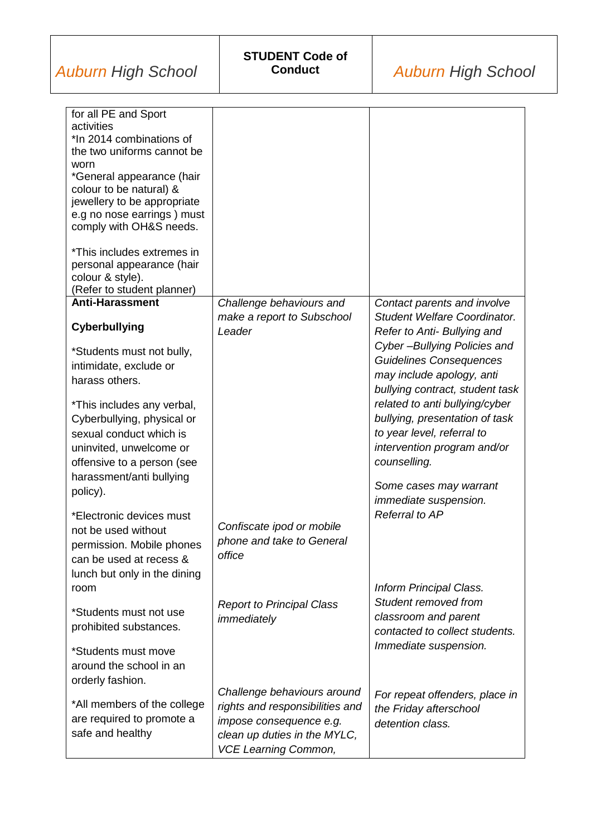| for all PE and Sport                          |                                  |                                     |
|-----------------------------------------------|----------------------------------|-------------------------------------|
| activities<br>*In 2014 combinations of        |                                  |                                     |
| the two uniforms cannot be                    |                                  |                                     |
| worn                                          |                                  |                                     |
| *General appearance (hair                     |                                  |                                     |
| colour to be natural) &                       |                                  |                                     |
| jewellery to be appropriate                   |                                  |                                     |
| e.g no nose earrings) must                    |                                  |                                     |
| comply with OH&S needs.                       |                                  |                                     |
|                                               |                                  |                                     |
| *This includes extremes in                    |                                  |                                     |
| personal appearance (hair<br>colour & style). |                                  |                                     |
| (Refer to student planner)                    |                                  |                                     |
| <b>Anti-Harassment</b>                        | Challenge behaviours and         | Contact parents and involve         |
|                                               | make a report to Subschool       | <b>Student Welfare Coordinator.</b> |
| Cyberbullying                                 | Leader                           | Refer to Anti- Bullying and         |
|                                               |                                  | Cyber-Bullying Policies and         |
| *Students must not bully,                     |                                  | Guidelines Consequences             |
| intimidate, exclude or                        |                                  |                                     |
| harass others.                                |                                  | may include apology, anti           |
|                                               |                                  | bullying contract, student task     |
| *This includes any verbal,                    |                                  | related to anti bullying/cyber      |
| Cyberbullying, physical or                    |                                  | bullying, presentation of task      |
| sexual conduct which is                       |                                  | to year level, referral to          |
| uninvited, unwelcome or                       |                                  | intervention program and/or         |
| offensive to a person (see                    |                                  | counselling.                        |
| harassment/anti bullying                      |                                  |                                     |
| policy).                                      |                                  | Some cases may warrant              |
|                                               |                                  | immediate suspension.               |
| *Electronic devices must                      |                                  | Referral to AP                      |
| not be used without                           | Confiscate ipod or mobile        |                                     |
| permission. Mobile phones                     | phone and take to General        |                                     |
| can be used at recess &                       | office                           |                                     |
| lunch but only in the dining                  |                                  |                                     |
| room                                          |                                  | Inform Principal Class.             |
|                                               | <b>Report to Principal Class</b> | Student removed from                |
| *Students must not use                        | immediately                      | classroom and parent                |
| prohibited substances.                        |                                  | contacted to collect students.      |
|                                               |                                  | Immediate suspension.               |
| *Students must move                           |                                  |                                     |
| around the school in an                       |                                  |                                     |
| orderly fashion.                              |                                  |                                     |
|                                               | Challenge behaviours around      | For repeat offenders, place in      |
| *All members of the college                   | rights and responsibilities and  | the Friday afterschool              |
| are required to promote a                     | impose consequence e.g.          | detention class.                    |
| safe and healthy                              | clean up duties in the MYLC,     |                                     |
|                                               | <b>VCE Learning Common,</b>      |                                     |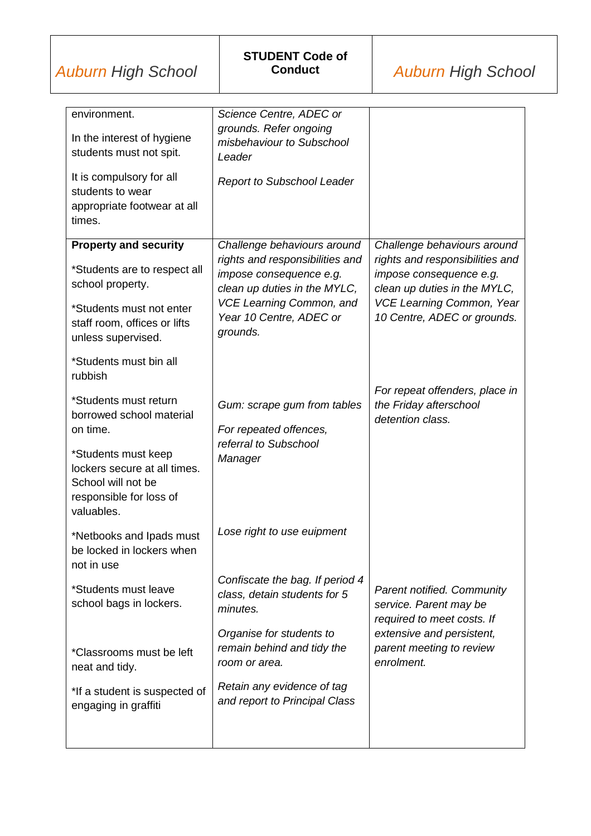| environment.                            | Science Centre, ADEC or                                |                                                       |
|-----------------------------------------|--------------------------------------------------------|-------------------------------------------------------|
| In the interest of hygiene              | grounds. Refer ongoing<br>misbehaviour to Subschool    |                                                       |
| students must not spit.                 | Leader                                                 |                                                       |
| It is compulsory for all                |                                                        |                                                       |
| students to wear                        | <b>Report to Subschool Leader</b>                      |                                                       |
| appropriate footwear at all             |                                                        |                                                       |
| times.                                  |                                                        |                                                       |
| <b>Property and security</b>            | Challenge behaviours around                            | Challenge behaviours around                           |
|                                         | rights and responsibilities and                        | rights and responsibilities and                       |
| *Students are to respect all            | impose consequence e.g.                                | impose consequence e.g.                               |
| school property.                        | clean up duties in the MYLC,                           | clean up duties in the MYLC,                          |
| *Students must not enter                | <b>VCE Learning Common, and</b>                        | <b>VCE Learning Common, Year</b>                      |
| staff room, offices or lifts            | Year 10 Centre, ADEC or                                | 10 Centre, ADEC or grounds.                           |
| unless supervised.                      | grounds.                                               |                                                       |
| *Students must bin all                  |                                                        |                                                       |
| rubbish                                 |                                                        |                                                       |
|                                         |                                                        | For repeat offenders, place in                        |
| *Students must return                   | Gum: scrape gum from tables                            | the Friday afterschool                                |
| borrowed school material<br>on time.    | For repeated offences,                                 | detention class.                                      |
|                                         | referral to Subschool                                  |                                                       |
| *Students must keep                     | Manager                                                |                                                       |
| lockers secure at all times.            |                                                        |                                                       |
| School will not be                      |                                                        |                                                       |
| responsible for loss of<br>valuables.   |                                                        |                                                       |
|                                         |                                                        |                                                       |
| *Netbooks and Ipads must                | Lose right to use euipment                             |                                                       |
| be locked in lockers when<br>not in use |                                                        |                                                       |
|                                         | Confiscate the bag. If period 4                        |                                                       |
| *Students must leave                    | class, detain students for 5                           | <b>Parent notified. Community</b>                     |
| school bags in lockers.                 | minutes.                                               | service. Parent may be                                |
|                                         |                                                        | required to meet costs. If                            |
|                                         | Organise for students to<br>remain behind and tidy the | extensive and persistent,<br>parent meeting to review |
| *Classrooms must be left                | room or area.                                          | enrolment.                                            |
| neat and tidy.                          |                                                        |                                                       |
| *If a student is suspected of           | Retain any evidence of tag                             |                                                       |
| engaging in graffiti                    | and report to Principal Class                          |                                                       |
|                                         |                                                        |                                                       |
|                                         |                                                        |                                                       |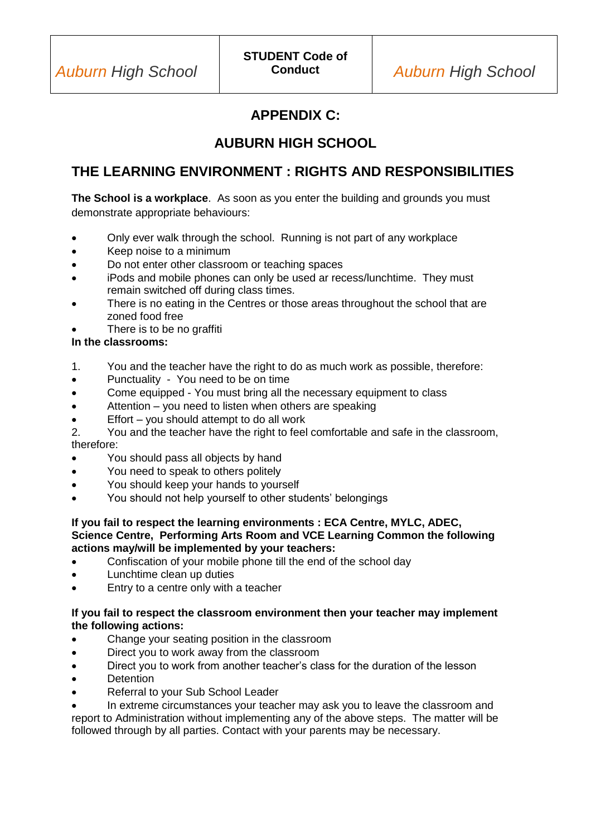# **APPENDIX C:**

# **AUBURN HIGH SCHOOL**

## **THE LEARNING ENVIRONMENT : RIGHTS AND RESPONSIBILITIES**

**The School is a workplace**. As soon as you enter the building and grounds you must demonstrate appropriate behaviours:

- Only ever walk through the school. Running is not part of any workplace
- Keep noise to a minimum
- Do not enter other classroom or teaching spaces
- iPods and mobile phones can only be used ar recess/lunchtime. They must remain switched off during class times.
- There is no eating in the Centres or those areas throughout the school that are zoned food free
- There is to be no graffiti

#### **In the classrooms:**

- 1. You and the teacher have the right to do as much work as possible, therefore:
- Punctuality You need to be on time
- Come equipped You must bring all the necessary equipment to class
- Attention you need to listen when others are speaking
- Effort you should attempt to do all work

2. You and the teacher have the right to feel comfortable and safe in the classroom, therefore:

- You should pass all objects by hand
- You need to speak to others politely
- You should keep your hands to yourself
- You should not help yourself to other students' belongings

#### **If you fail to respect the learning environments : ECA Centre, MYLC, ADEC, Science Centre, Performing Arts Room and VCE Learning Common the following actions may/will be implemented by your teachers:**

- Confiscation of your mobile phone till the end of the school day
- Lunchtime clean up duties
- Entry to a centre only with a teacher

#### **If you fail to respect the classroom environment then your teacher may implement the following actions:**

- Change your seating position in the classroom
- Direct you to work away from the classroom
- Direct you to work from another teacher's class for the duration of the lesson
- **Detention**
- Referral to your Sub School Leader
- In extreme circumstances your teacher may ask you to leave the classroom and report to Administration without implementing any of the above steps. The matter will be followed through by all parties. Contact with your parents may be necessary.